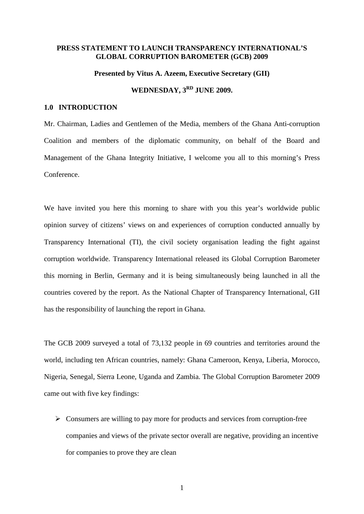#### **PRESS STATEMENT TO LAUNCH TRANSPARENCY INTERNATIONAL'S GLOBAL CORRUPTION BAROMETER (GCB) 2009**

#### **Presented by Vitus A. Azeem, Executive Secretary (GII)**

# WEDNESDAY,  $3^{RD}$  JUNE 2009.

### **1.0 INTRODUCTION**

Mr. Chairman, Ladies and Gentlemen of the Media, members of the Ghana Anti-corruption Coalition and members of the diplomatic community, on behalf of the Board and Management of the Ghana Integrity Initiative, I welcome you all to this morning's Press Conference.

We have invited you here this morning to share with you this year's worldwide public opinion survey of citizens' views on and experiences of corruption conducted annually by Transparency International (TI), the civil society organisation leading the fight against corruption worldwide. Transparency International released its Global Corruption Barometer this morning in Berlin, Germany and it is being simultaneously being launched in all the countries covered by the report. As the National Chapter of Transparency International, GII has the responsibility of launching the report in Ghana.

The GCB 2009 surveyed a total of 73,132 people in 69 countries and territories around the world, including ten African countries, namely: Ghana Cameroon, Kenya, Liberia, Morocco, Nigeria, Senegal, Sierra Leone, Uganda and Zambia. The Global Corruption Barometer 2009 came out with five key findings:

 $\triangleright$  Consumers are willing to pay more for products and services from corruption-free companies and views of the private sector overall are negative, providing an incentive for companies to prove they are clean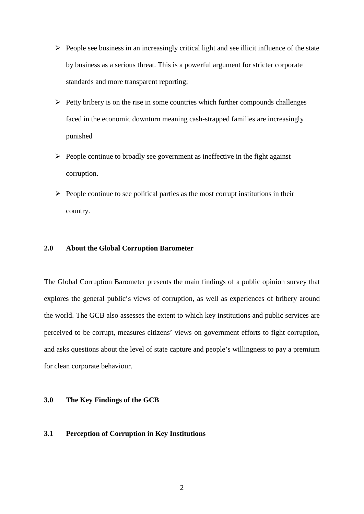- $\triangleright$  People see business in an increasingly critical light and see illicit influence of the state by business as a serious threat. This is a powerful argument for stricter corporate standards and more transparent reporting;
- $\triangleright$  Petty bribery is on the rise in some countries which further compounds challenges faced in the economic downturn meaning cash-strapped families are increasingly punished
- $\triangleright$  People continue to broadly see government as ineffective in the fight against corruption.
- $\triangleright$  People continue to see political parties as the most corrupt institutions in their country.

### **2.0 About the Global Corruption Barometer**

The Global Corruption Barometer presents the main findings of a public opinion survey that explores the general public's views of corruption, as well as experiences of bribery around the world. The GCB also assesses the extent to which key institutions and public services are perceived to be corrupt, measures citizens' views on government efforts to fight corruption, and asks questions about the level of state capture and people's willingness to pay a premium for clean corporate behaviour.

#### **3.0 The Key Findings of the GCB**

#### **3.1 Perception of Corruption in Key Institutions**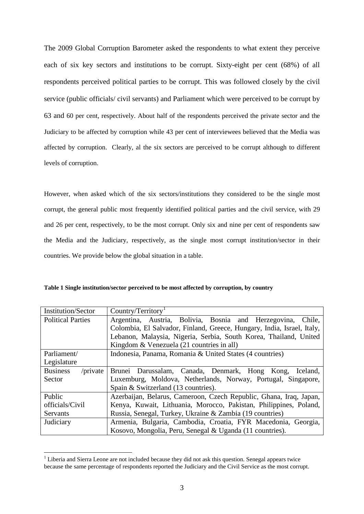The 2009 Global Corruption Barometer asked the respondents to what extent they perceive each of six key sectors and institutions to be corrupt. Sixty-eight per cent (68%) of all respondents perceived political parties to be corrupt. This was followed closely by the civil service (public officials/ civil servants) and Parliament which were perceived to be corrupt by 63 and 60 per cent, respectively. About half of the respondents perceived the private sector and the Judiciary to be affected by corruption while 43 per cent of interviewees believed that the Media was affected by corruption. Clearly, al the six sectors are perceived to be corrupt although to different levels of corruption.

However, when asked which of the six sectors/institutions they considered to be the single most corrupt, the general public most frequently identified political parties and the civil service, with 29 and 26 per cent, respectively, to be the most corrupt. Only six and nine per cent of respondents saw the Media and the Judiciary, respectively, as the single most corrupt institution/sector in their countries. We provide below the global situation in a table.

**Table 1 Single institution/sector perceived to be most affected by corruption, by country**

| <b>Institution/Sector</b>      | Country/Territory <sup>1</sup>                                         |  |  |
|--------------------------------|------------------------------------------------------------------------|--|--|
| <b>Political Parties</b>       | Argentina, Austria, Bolivia, Bosnia and Herzegovina, Chile,            |  |  |
|                                | Colombia, El Salvador, Finland, Greece, Hungary, India, Israel, Italy, |  |  |
|                                | Lebanon, Malaysia, Nigeria, Serbia, South Korea, Thailand, United      |  |  |
|                                | Kingdom & Venezuela (21 countries in all)                              |  |  |
| Parliament/                    | Indonesia, Panama, Romania & United States (4 countries)               |  |  |
| Legislature                    |                                                                        |  |  |
| <b>Business</b><br>$/$ private | Brunei Darussalam, Canada, Denmark, Hong Kong,<br>Iceland,             |  |  |
| Sector                         | Luxemburg, Moldova, Netherlands, Norway, Portugal, Singapore,          |  |  |
|                                | Spain & Switzerland (13 countries).                                    |  |  |
| Public                         | Azerbaijan, Belarus, Cameroon, Czech Republic, Ghana, Iraq, Japan,     |  |  |
| officials/Civil                | Kenya, Kuwait, Lithuania, Morocco, Pakistan, Philippines, Poland,      |  |  |
| <b>Servants</b>                | Russia, Senegal, Turkey, Ukraine & Zambia (19 countries)               |  |  |
| Judiciary                      | Armenia, Bulgaria, Cambodia, Croatia, FYR Macedonia, Georgia,          |  |  |
|                                | Kosovo, Mongolia, Peru, Senegal & Uganda (11 countries).               |  |  |

<span id="page-2-0"></span><sup>&</sup>lt;sup>1</sup> Liberia and Sierra Leone are not included because they did not ask this question. Senegal appears twice because the same percentage of respondents reported the Judiciary and the Civil Service as the most corrupt.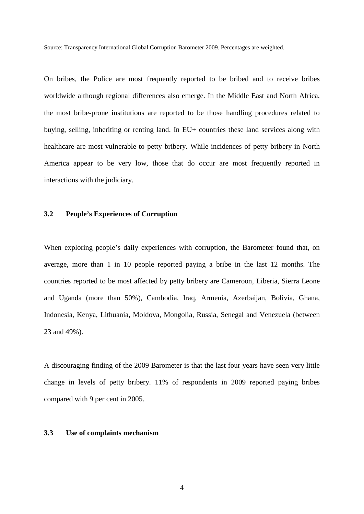Source: Transparency International Global Corruption Barometer 2009. Percentages are weighted.

On bribes, the Police are most frequently reported to be bribed and to receive bribes worldwide although regional differences also emerge. In the Middle East and North Africa, the most bribe-prone institutions are reported to be those handling procedures related to buying, selling, inheriting or renting land. In EU+ countries these land services along with healthcare are most vulnerable to petty bribery. While incidences of petty bribery in North America appear to be very low, those that do occur are most frequently reported in interactions with the judiciary.

#### **3.2 People's Experiences of Corruption**

When exploring people's daily experiences with corruption, the Barometer found that, on average, more than 1 in 10 people reported paying a bribe in the last 12 months. The countries reported to be most affected by petty bribery are Cameroon, Liberia, Sierra Leone and Uganda (more than 50%), Cambodia, Iraq, Armenia, Azerbaijan, Bolivia, Ghana, Indonesia, Kenya, Lithuania, Moldova, Mongolia, Russia, Senegal and Venezuela (between 23 and 49%).

A discouraging finding of the 2009 Barometer is that the last four years have seen very little change in levels of petty bribery. 11% of respondents in 2009 reported paying bribes compared with 9 per cent in 2005.

## **3.3 Use of complaints mechanism**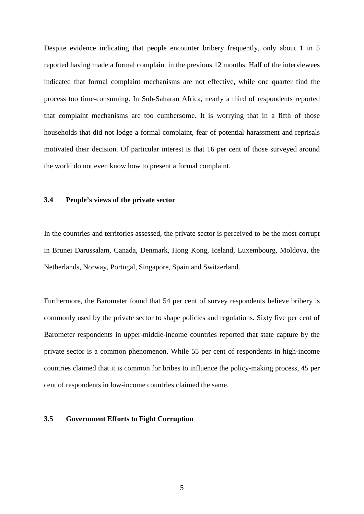Despite evidence indicating that people encounter bribery frequently, only about 1 in 5 reported having made a formal complaint in the previous 12 months. Half of the interviewees indicated that formal complaint mechanisms are not effective, while one quarter find the process too time-consuming. In Sub-Saharan Africa, nearly a third of respondents reported that complaint mechanisms are too cumbersome. It is worrying that in a fifth of those households that did not lodge a formal complaint, fear of potential harassment and reprisals motivated their decision. Of particular interest is that 16 per cent of those surveyed around the world do not even know how to present a formal complaint.

## **3.4 People's views of the private sector**

In the countries and territories assessed, the private sector is perceived to be the most corrupt in Brunei Darussalam, Canada, Denmark, Hong Kong, Iceland, Luxembourg, Moldova, the Netherlands, Norway, Portugal, Singapore, Spain and Switzerland.

Furthermore, the Barometer found that 54 per cent of survey respondents believe bribery is commonly used by the private sector to shape policies and regulations. Sixty five per cent of Barometer respondents in upper-middle-income countries reported that state capture by the private sector is a common phenomenon. While 55 per cent of respondents in high-income countries claimed that it is common for bribes to influence the policy-making process, 45 per cent of respondents in low-income countries claimed the same.

# **3.5 Government Efforts to Fight Corruption**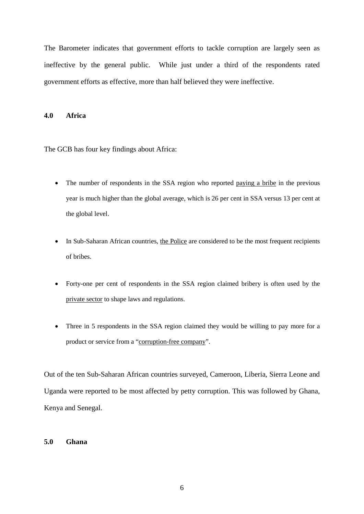The Barometer indicates that government efforts to tackle corruption are largely seen as ineffective by the general public. While just under a third of the respondents rated government efforts as effective, more than half believed they were ineffective.

#### **4.0 Africa**

The GCB has four key findings about Africa:

- The number of respondents in the SSA region who reported paying a bribe in the previous year is much higher than the global average, which is 26 per cent in SSA versus 13 per cent at the global level.
- In Sub-Saharan African countries, the Police are considered to be the most frequent recipients of bribes.
- Forty-one per cent of respondents in the SSA region claimed bribery is often used by the private sector to shape laws and regulations.
- Three in 5 respondents in the SSA region claimed they would be willing to pay more for a product or service from a "corruption-free company".

Out of the ten Sub-Saharan African countries surveyed, Cameroon, Liberia, Sierra Leone and Uganda were reported to be most affected by petty corruption. This was followed by Ghana, Kenya and Senegal.

## **5.0 Ghana**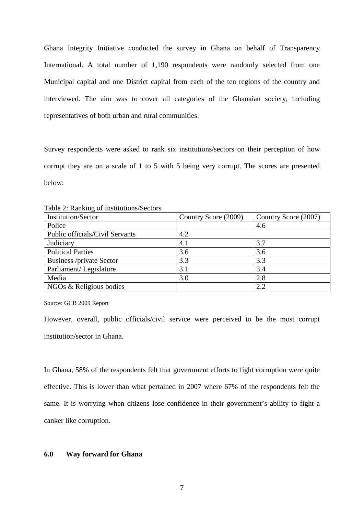Ghana Integrity Initiative conducted the survey in Ghana on behalf of Transparency International. A total number of 1,190 respondents were randomly selected from one Municipal capital and one District capital from each of the ten regions of the country and interviewed. The aim was to cover all categories of the Ghanaian society, including representatives of both urban and rural communities.

Survey respondents were asked to rank six institutions/sectors on their perception of how corrupt they are on a scale of 1 to 5 with 5 being very corrupt. The scores are presented below:

| <b>Institution/Sector</b>       | Country Score (2009) | Country Score (2007) |
|---------------------------------|----------------------|----------------------|
| Police                          |                      | 4.6                  |
| Public officials/Civil Servants | 4.2                  |                      |
| Judiciary                       | 4.1                  | 3.7                  |
| <b>Political Parties</b>        | 3.6                  | 3.6                  |
| <b>Business /private Sector</b> | 3.3                  | 3.3                  |
| Parliament/Legislature          | 3.1                  | 3.4                  |
| Media                           | 3.0                  | 2.8                  |
| NGOs & Religious bodies         |                      | 2.2                  |

Table 2: Ranking of Institutions/Sectors

Source: GCB 2009 Report

However, overall, public officials/civil service were perceived to be the most corrupt institution/sector in Ghana.

In Ghana, 58% of the respondents felt that government efforts to fight corruption were quite effective. This is lower than what pertained in 2007 where 67% of the respondents felt the same. It is worrying when citizens lose confidence in their government's ability to fight a canker like corruption.

#### **6.0 Way forward for Ghana**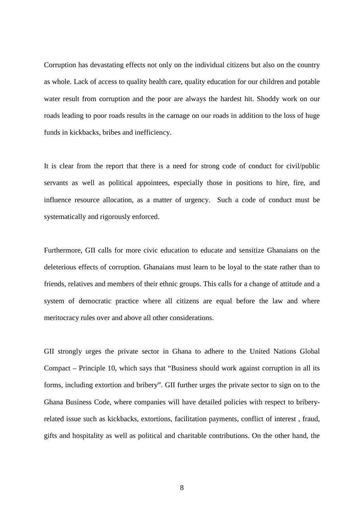Corruption has devastating effects not only on the individual citizens but also on the country as whole. Lack of access to quality health care, quality education for our children and potable water result from corruption and the poor are always the hardest hit. Shoddy work on our roads leading to poor roads results in the carnage on our roads in addition to the loss of huge funds in kickbacks, bribes and inefficiency.

It is clear from the report that there is a need for strong code of conduct for civil/public servants as well as political appointees, especially those in positions to hire, fire, and influence resource allocation, as a matter of urgency. Such a code of conduct must be systematically and rigorously enforced.

Furthermore, GII calls for more civic education to educate and sensitize Ghanaians on the deleterious effects of corruption. Ghanaians must learn to be loyal to the state rather than to friends, relatives and members of their ethnic groups. This calls for a change of attitude and a system of democratic practice where all citizens are equal before the law and where meritocracy rules over and above all other considerations.

GII strongly urges the private sector in Ghana to adhere to the United Nations Global Compact – Principle 10, which says that "Business should work against corruption in all its forms, including extortion and bribery". GII further urges the private sector to sign on to the Ghana Business Code, where companies will have detailed policies with respect to briberyrelated issue such as kickbacks, extortions, facilitation payments, conflict of interest , fraud, gifts and hospitality as well as political and charitable contributions. On the other hand, the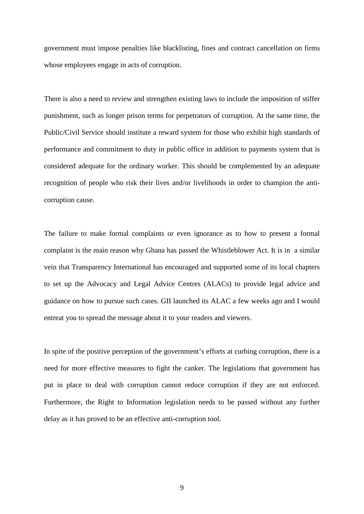government must impose penalties like blacklisting, fines and contract cancellation on firms whose employees engage in acts of corruption.

There is also a need to review and strengthen existing laws to include the imposition of stiffer punishment, such as longer prison terms for perpetrators of corruption. At the same time, the Public/Civil Service should institute a reward system for those who exhibit high standards of performance and commitment to duty in public office in addition to payments system that is considered adequate for the ordinary worker. This should be complemented by an adequate recognition of people who risk their lives and/or livelihoods in order to champion the anticorruption cause.

The failure to make formal complaints or even ignorance as to how to present a formal complaint is the main reason why Ghana has passed the Whistleblower Act. It is in a similar vein that Transparency International has encouraged and supported some of its local chapters to set up the Advocacy and Legal Advice Centres (ALACs) to provide legal advice and guidance on how to pursue such cases. GII launched its ALAC a few weeks ago and I would entreat you to spread the message about it to your readers and viewers.

In spite of the positive perception of the government's efforts at curbing corruption, there is a need for more effective measures to fight the canker. The legislations that government has put in place to deal with corruption cannot reduce corruption if they are not enforced. Furthermore, the Right to Information legislation needs to be passed without any further delay as it has proved to be an effective anti-corruption tool.